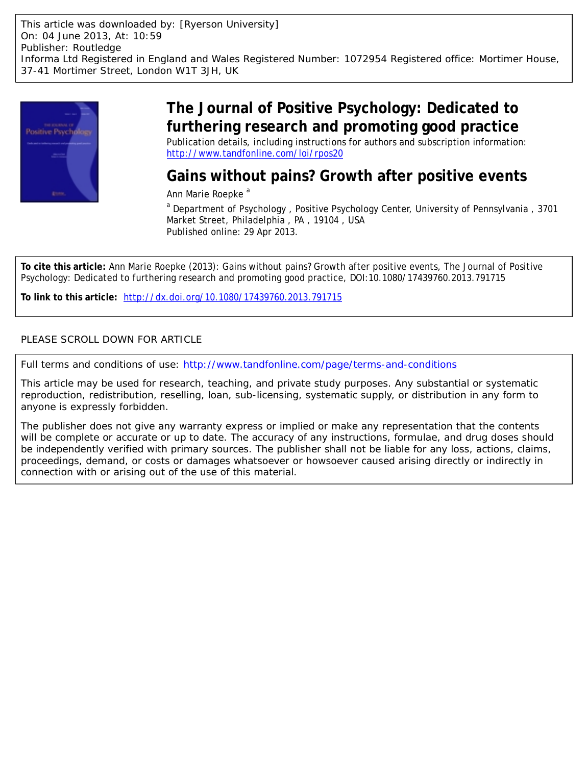

# **The Journal of Positive Psychology: Dedicated to furthering research and promoting good practice** Publication details, including instructions for authors and subscription information:

<http://www.tandfonline.com/loi/rpos20>

**Gains without pains? Growth after positive events**

Ann Marie Roepke<sup>a</sup>

<sup>a</sup> Department of Psychology, Positive Psychology Center, University of Pennsylvania, 3701 Market Street, Philadelphia , PA , 19104 , USA Published online: 29 Apr 2013.

**To cite this article:** Ann Marie Roepke (2013): Gains without pains? Growth after positive events, The Journal of Positive Psychology: Dedicated to furthering research and promoting good practice, DOI:10.1080/17439760.2013.791715

**To link to this article:** <http://dx.doi.org/10.1080/17439760.2013.791715>

# PLEASE SCROLL DOWN FOR ARTICLE

Full terms and conditions of use:<http://www.tandfonline.com/page/terms-and-conditions>

This article may be used for research, teaching, and private study purposes. Any substantial or systematic reproduction, redistribution, reselling, loan, sub-licensing, systematic supply, or distribution in any form to anyone is expressly forbidden.

The publisher does not give any warranty express or implied or make any representation that the contents will be complete or accurate or up to date. The accuracy of any instructions, formulae, and drug doses should be independently verified with primary sources. The publisher shall not be liable for any loss, actions, claims, proceedings, demand, or costs or damages whatsoever or howsoever caused arising directly or indirectly in connection with or arising out of the use of this material.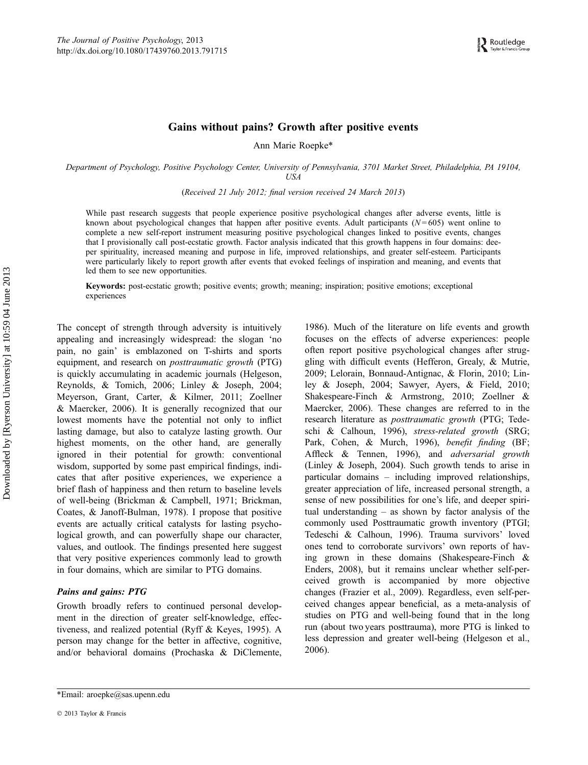## Gains without pains? Growth after positive events

Ann Marie Roepke\*

Department of Psychology, Positive Psychology Center, University of Pennsylvania, 3701 Market Street, Philadelphia, PA 19104, USA

(Received 21 July 2012; final version received 24 March 2013)

While past research suggests that people experience positive psychological changes after adverse events, little is known about psychological changes that happen after positive events. Adult participants  $(N=605)$  went online to complete a new self-report instrument measuring positive psychological changes linked to positive events, changes that I provisionally call post-ecstatic growth. Factor analysis indicated that this growth happens in four domains: deeper spirituality, increased meaning and purpose in life, improved relationships, and greater self-esteem. Participants were particularly likely to report growth after events that evoked feelings of inspiration and meaning, and events that led them to see new opportunities.

Keywords: post-ecstatic growth; positive events; growth; meaning; inspiration; positive emotions; exceptional experiences

The concept of strength through adversity is intuitively appealing and increasingly widespread: the slogan 'no pain, no gain' is emblazoned on T-shirts and sports equipment, and research on posttraumatic growth (PTG) is quickly accumulating in academic journals (Helgeson, Reynolds, & Tomich, 2006; Linley & Joseph, 2004; Meyerson, Grant, Carter, & Kilmer, 2011; Zoellner & Maercker, 2006). It is generally recognized that our lowest moments have the potential not only to inflict lasting damage, but also to catalyze lasting growth. Our highest moments, on the other hand, are generally ignored in their potential for growth: conventional wisdom, supported by some past empirical findings, indicates that after positive experiences, we experience a brief flash of happiness and then return to baseline levels of well-being (Brickman & Campbell, 1971; Brickman, Coates, & Janoff-Bulman, 1978). I propose that positive events are actually critical catalysts for lasting psychological growth, and can powerfully shape our character, values, and outlook. The findings presented here suggest that very positive experiences commonly lead to growth in four domains, which are similar to PTG domains.

### Pains and gains: PTG

Growth broadly refers to continued personal development in the direction of greater self-knowledge, effectiveness, and realized potential (Ryff & Keyes, 1995). A person may change for the better in affective, cognitive, and/or behavioral domains (Prochaska & DiClemente,

1986). Much of the literature on life events and growth focuses on the effects of adverse experiences: people often report positive psychological changes after struggling with difficult events (Hefferon, Grealy, & Mutrie, 2009; Lelorain, Bonnaud-Antignac, & Florin, 2010; Linley & Joseph, 2004; Sawyer, Ayers, & Field, 2010; Shakespeare-Finch & Armstrong, 2010; Zoellner & Maercker, 2006). These changes are referred to in the research literature as posttraumatic growth (PTG; Tedeschi & Calhoun, 1996), stress-related growth (SRG; Park, Cohen, & Murch, 1996), benefit finding (BF; Affleck & Tennen, 1996), and adversarial growth (Linley & Joseph, 2004). Such growth tends to arise in particular domains – including improved relationships, greater appreciation of life, increased personal strength, a sense of new possibilities for one's life, and deeper spiritual understanding – as shown by factor analysis of the commonly used Posttraumatic growth inventory (PTGI; Tedeschi & Calhoun, 1996). Trauma survivors' loved ones tend to corroborate survivors' own reports of having grown in these domains (Shakespeare-Finch & Enders, 2008), but it remains unclear whether self-perceived growth is accompanied by more objective changes (Frazier et al., 2009). Regardless, even self-perceived changes appear beneficial, as a meta-analysis of studies on PTG and well-being found that in the long run (about two years posttrauma), more PTG is linked to less depression and greater well-being (Helgeson et al., 2006).

<sup>\*</sup>Email: aroepke@sas.upenn.edu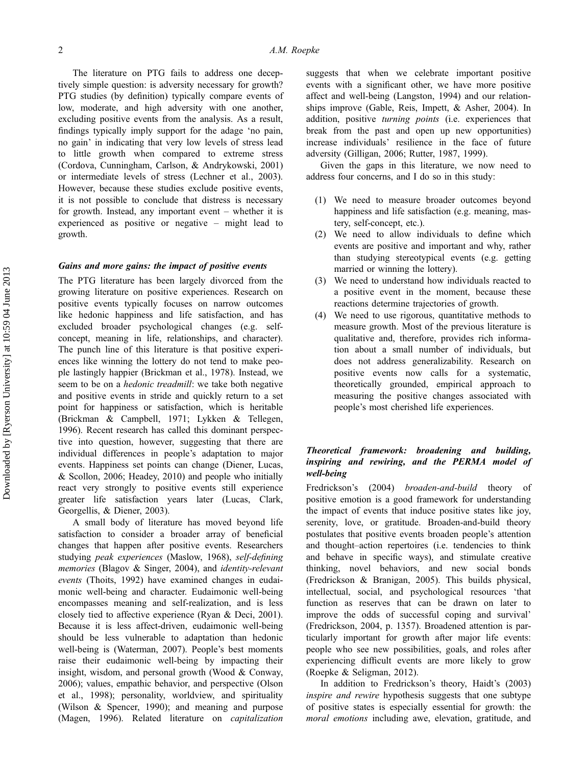The literature on PTG fails to address one deceptively simple question: is adversity necessary for growth? PTG studies (by definition) typically compare events of low, moderate, and high adversity with one another, excluding positive events from the analysis. As a result, findings typically imply support for the adage 'no pain, no gain' in indicating that very low levels of stress lead to little growth when compared to extreme stress (Cordova, Cunningham, Carlson, & Andrykowski, 2001) or intermediate levels of stress (Lechner et al., 2003). However, because these studies exclude positive events, it is not possible to conclude that distress is necessary for growth. Instead, any important event – whether it is experienced as positive or negative – might lead to growth.

#### Gains and more gains: the impact of positive events

The PTG literature has been largely divorced from the growing literature on positive experiences. Research on positive events typically focuses on narrow outcomes like hedonic happiness and life satisfaction, and has excluded broader psychological changes (e.g. selfconcept, meaning in life, relationships, and character). The punch line of this literature is that positive experiences like winning the lottery do not tend to make people lastingly happier (Brickman et al., 1978). Instead, we seem to be on a *hedonic treadmill*: we take both negative and positive events in stride and quickly return to a set point for happiness or satisfaction, which is heritable (Brickman & Campbell, 1971; Lykken & Tellegen, 1996). Recent research has called this dominant perspective into question, however, suggesting that there are individual differences in people's adaptation to major events. Happiness set points can change (Diener, Lucas, & Scollon, 2006; Headey, 2010) and people who initially react very strongly to positive events still experience greater life satisfaction years later (Lucas, Clark, Georgellis, & Diener, 2003).

A small body of literature has moved beyond life satisfaction to consider a broader array of beneficial changes that happen after positive events. Researchers studying peak experiences (Maslow, 1968), self-defining memories (Blagov & Singer, 2004), and identity-relevant events (Thoits, 1992) have examined changes in eudaimonic well-being and character. Eudaimonic well-being encompasses meaning and self-realization, and is less closely tied to affective experience (Ryan & Deci, 2001). Because it is less affect-driven, eudaimonic well-being should be less vulnerable to adaptation than hedonic well-being is (Waterman, 2007). People's best moments raise their eudaimonic well-being by impacting their insight, wisdom, and personal growth (Wood & Conway, 2006); values, empathic behavior, and perspective (Olson et al., 1998); personality, worldview, and spirituality (Wilson & Spencer, 1990); and meaning and purpose (Magen, 1996). Related literature on capitalization

suggests that when we celebrate important positive events with a significant other, we have more positive affect and well-being (Langston, 1994) and our relationships improve (Gable, Reis, Impett, & Asher, 2004). In addition, positive turning points (i.e. experiences that break from the past and open up new opportunities) increase individuals' resilience in the face of future adversity (Gilligan, 2006; Rutter, 1987, 1999).

Given the gaps in this literature, we now need to address four concerns, and I do so in this study:

- (1) We need to measure broader outcomes beyond happiness and life satisfaction (e.g. meaning, mastery, self-concept, etc.).
- (2) We need to allow individuals to define which events are positive and important and why, rather than studying stereotypical events (e.g. getting married or winning the lottery).
- (3) We need to understand how individuals reacted to a positive event in the moment, because these reactions determine trajectories of growth.
- (4) We need to use rigorous, quantitative methods to measure growth. Most of the previous literature is qualitative and, therefore, provides rich information about a small number of individuals, but does not address generalizability. Research on positive events now calls for a systematic, theoretically grounded, empirical approach to measuring the positive changes associated with people's most cherished life experiences.

# Theoretical framework: broadening and building, inspiring and rewiring, and the PERMA model of well-being

Fredrickson's (2004) broaden-and-build theory of positive emotion is a good framework for understanding the impact of events that induce positive states like joy, serenity, love, or gratitude. Broaden-and-build theory postulates that positive events broaden people's attention and thought–action repertoires (i.e. tendencies to think and behave in specific ways), and stimulate creative thinking, novel behaviors, and new social bonds (Fredrickson & Branigan, 2005). This builds physical, intellectual, social, and psychological resources 'that function as reserves that can be drawn on later to improve the odds of successful coping and survival' (Fredrickson, 2004, p. 1357). Broadened attention is particularly important for growth after major life events: people who see new possibilities, goals, and roles after experiencing difficult events are more likely to grow (Roepke & Seligman, 2012).

In addition to Fredrickson's theory, Haidt's (2003) inspire and rewire hypothesis suggests that one subtype of positive states is especially essential for growth: the moral emotions including awe, elevation, gratitude, and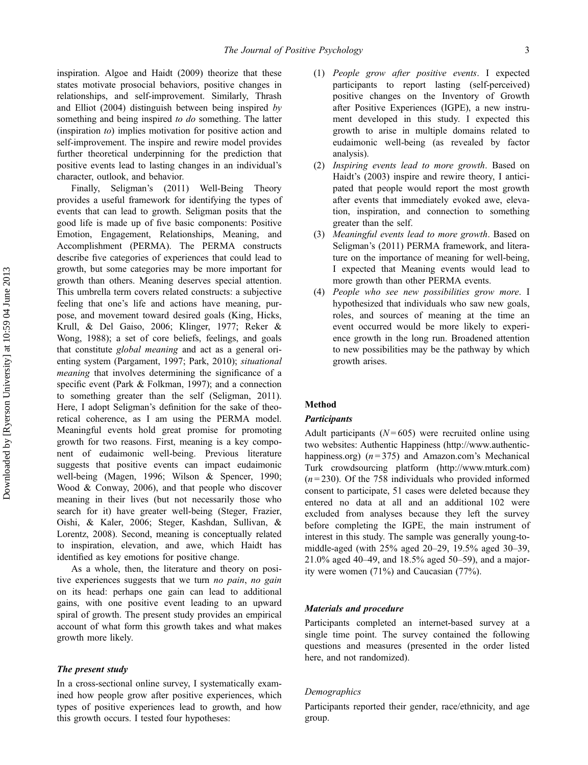inspiration. Algoe and Haidt (2009) theorize that these states motivate prosocial behaviors, positive changes in relationships, and self-improvement. Similarly, Thrash and Elliot (2004) distinguish between being inspired by something and being inspired to do something. The latter (inspiration to) implies motivation for positive action and self-improvement. The inspire and rewire model provides further theoretical underpinning for the prediction that positive events lead to lasting changes in an individual's character, outlook, and behavior.

Finally, Seligman's (2011) Well-Being Theory provides a useful framework for identifying the types of events that can lead to growth. Seligman posits that the good life is made up of five basic components: Positive Emotion, Engagement, Relationships, Meaning, and Accomplishment (PERMA). The PERMA constructs describe five categories of experiences that could lead to growth, but some categories may be more important for growth than others. Meaning deserves special attention. This umbrella term covers related constructs: a subjective feeling that one's life and actions have meaning, purpose, and movement toward desired goals (King, Hicks, Krull, & Del Gaiso, 2006; Klinger, 1977; Reker & Wong, 1988); a set of core beliefs, feelings, and goals that constitute global meaning and act as a general orienting system (Pargament, 1997; Park, 2010); situational meaning that involves determining the significance of a specific event (Park & Folkman, 1997); and a connection to something greater than the self (Seligman, 2011). Here, I adopt Seligman's definition for the sake of theoretical coherence, as I am using the PERMA model. Meaningful events hold great promise for promoting growth for two reasons. First, meaning is a key component of eudaimonic well-being. Previous literature suggests that positive events can impact eudaimonic well-being (Magen, 1996; Wilson & Spencer, 1990; Wood & Conway, 2006), and that people who discover meaning in their lives (but not necessarily those who search for it) have greater well-being (Steger, Frazier, Oishi, & Kaler, 2006; Steger, Kashdan, Sullivan, & Lorentz, 2008). Second, meaning is conceptually related to inspiration, elevation, and awe, which Haidt has identified as key emotions for positive change.

As a whole, then, the literature and theory on positive experiences suggests that we turn no pain, no gain on its head: perhaps one gain can lead to additional gains, with one positive event leading to an upward spiral of growth. The present study provides an empirical account of what form this growth takes and what makes growth more likely.

#### The present study

In a cross-sectional online survey, I systematically examined how people grow after positive experiences, which types of positive experiences lead to growth, and how this growth occurs. I tested four hypotheses:

- (1) People grow after positive events. I expected participants to report lasting (self-perceived) positive changes on the Inventory of Growth after Positive Experiences (IGPE), a new instrument developed in this study. I expected this growth to arise in multiple domains related to eudaimonic well-being (as revealed by factor analysis).
- (2) Inspiring events lead to more growth. Based on Haidt's (2003) inspire and rewire theory, I anticipated that people would report the most growth after events that immediately evoked awe, elevation, inspiration, and connection to something greater than the self.
- (3) Meaningful events lead to more growth. Based on Seligman's (2011) PERMA framework, and literature on the importance of meaning for well-being, I expected that Meaning events would lead to more growth than other PERMA events.
- (4) People who see new possibilities grow more. I hypothesized that individuals who saw new goals, roles, and sources of meaning at the time an event occurred would be more likely to experience growth in the long run. Broadened attention to new possibilities may be the pathway by which growth arises.

#### Method

#### Participants

Adult participants ( $N = 605$ ) were recruited online using two websites: Authentic Happiness ([http://www.authentic](http://www.authentichappiness.org)[happiness.org\)](http://www.authentichappiness.org)  $(n=375)$  and Amazon.com's Mechanical Turk crowdsourcing platform ([http://www.mturk.com\)](http://www.mturk.com)  $(n=230)$ . Of the 758 individuals who provided informed consent to participate, 51 cases were deleted because they entered no data at all and an additional 102 were excluded from analyses because they left the survey before completing the IGPE, the main instrument of interest in this study. The sample was generally young-tomiddle-aged (with 25% aged 20–29, 19.5% aged 30–39, 21.0% aged 40–49, and 18.5% aged 50–59), and a majority were women (71%) and Caucasian (77%).

#### Materials and procedure

Participants completed an internet-based survey at a single time point. The survey contained the following questions and measures (presented in the order listed here, and not randomized).

#### Demographics

Participants reported their gender, race/ethnicity, and age group.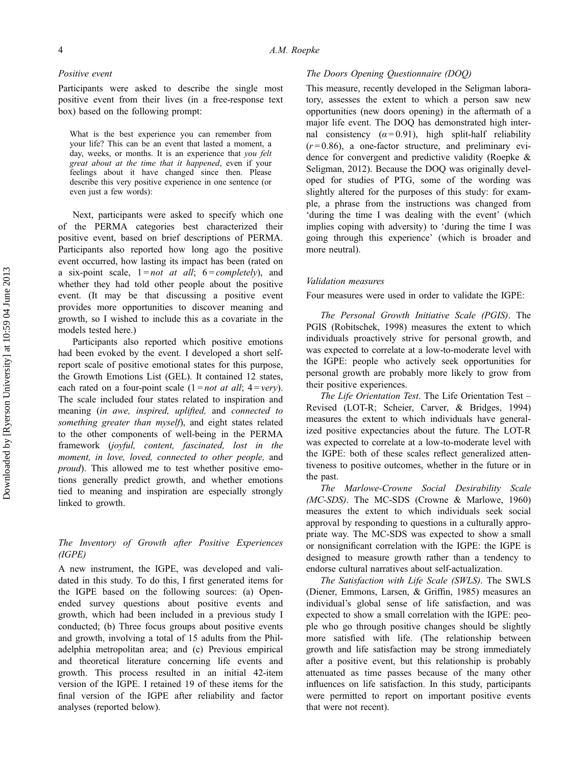#### Positive event

Participants were asked to describe the single most positive event from their lives (in a free-response text box) based on the following prompt:

What is the best experience you can remember from your life? This can be an event that lasted a moment, a day, weeks, or months. It is an experience that you felt great about at the time that it happened, even if your feelings about it have changed since then. Please describe this very positive experience in one sentence (or even just a few words):

Next, participants were asked to specify which one of the PERMA categories best characterized their positive event, based on brief descriptions of PERMA. Participants also reported how long ago the positive event occurred, how lasting its impact has been (rated on a six-point scale,  $1 = not$  at all;  $6 = completely$ , and whether they had told other people about the positive event. (It may be that discussing a positive event provides more opportunities to discover meaning and growth, so I wished to include this as a covariate in the models tested here.)

Participants also reported which positive emotions had been evoked by the event. I developed a short selfreport scale of positive emotional states for this purpose, the Growth Emotions List (GEL). It contained 12 states, each rated on a four-point scale  $(1 = not at all; 4 = very)$ . The scale included four states related to inspiration and meaning (in awe, inspired, uplifted, and connected to something greater than myself), and eight states related to the other components of well-being in the PERMA framework (joyful, content, fascinated, lost in the moment, in love, loved, connected to other people, and proud). This allowed me to test whether positive emotions generally predict growth, and whether emotions tied to meaning and inspiration are especially strongly linked to growth.

# The Inventory of Growth after Positive Experiences (IGPE)

A new instrument, the IGPE, was developed and validated in this study. To do this, I first generated items for the IGPE based on the following sources: (a) Openended survey questions about positive events and growth, which had been included in a previous study I conducted; (b) Three focus groups about positive events and growth, involving a total of 15 adults from the Philadelphia metropolitan area; and (c) Previous empirical and theoretical literature concerning life events and growth. This process resulted in an initial 42-item version of the IGPE. I retained 19 of these items for the final version of the IGPE after reliability and factor analyses (reported below).

## The Doors Opening Questionnaire (DOQ)

This measure, recently developed in the Seligman laboratory, assesses the extent to which a person saw new opportunities (new doors opening) in the aftermath of a major life event. The DOQ has demonstrated high internal consistency  $(\alpha = 0.91)$ , high split-half reliability  $(r=0.86)$ , a one-factor structure, and preliminary evidence for convergent and predictive validity (Roepke & Seligman, 2012). Because the DOQ was originally developed for studies of PTG, some of the wording was slightly altered for the purposes of this study: for example, a phrase from the instructions was changed from 'during the time I was dealing with the event' (which implies coping with adversity) to 'during the time I was going through this experience' (which is broader and more neutral).

#### Validation measures

Four measures were used in order to validate the IGPE:

The Personal Growth Initiative Scale (PGIS). The PGIS (Robitschek, 1998) measures the extent to which individuals proactively strive for personal growth, and was expected to correlate at a low-to-moderate level with the IGPE: people who actively seek opportunities for personal growth are probably more likely to grow from their positive experiences.

The Life Orientation Test. The Life Orientation Test -Revised (LOT-R; Scheier, Carver, & Bridges, 1994) measures the extent to which individuals have generalized positive expectancies about the future. The LOT-R was expected to correlate at a low-to-moderate level with the IGPE: both of these scales reflect generalized attentiveness to positive outcomes, whether in the future or in the past.

The Marlowe-Crowne Social Desirability Scale (MC-SDS). The MC-SDS (Crowne & Marlowe, 1960) measures the extent to which individuals seek social approval by responding to questions in a culturally appropriate way. The MC-SDS was expected to show a small or nonsignificant correlation with the IGPE: the IGPE is designed to measure growth rather than a tendency to endorse cultural narratives about self-actualization.

The Satisfaction with Life Scale (SWLS). The SWLS (Diener, Emmons, Larsen, & Griffin, 1985) measures an individual's global sense of life satisfaction, and was expected to show a small correlation with the IGPE: people who go through positive changes should be slightly more satisfied with life. (The relationship between growth and life satisfaction may be strong immediately after a positive event, but this relationship is probably attenuated as time passes because of the many other influences on life satisfaction. In this study, participants were permitted to report on important positive events that were not recent).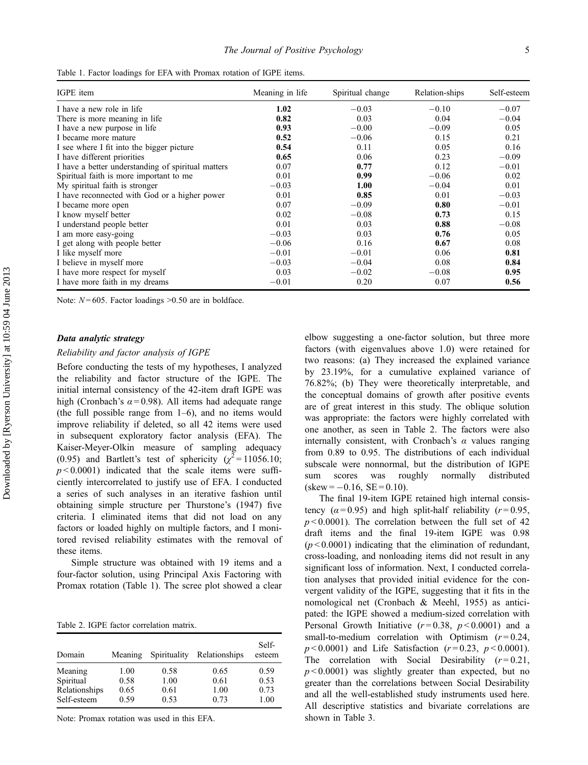Table 1. Factor loadings for EFA with Promax rotation of IGPE items.

| IGPE item                                          | Meaning in life | Spiritual change | Relation-ships | Self-esteem |
|----------------------------------------------------|-----------------|------------------|----------------|-------------|
| I have a new role in life                          | 1.02            | $-0.03$          | $-0.10$        | $-0.07$     |
| There is more meaning in life.                     | 0.82            | 0.03             | 0.04           | $-0.04$     |
| I have a new purpose in life                       | 0.93            | $-0.00$          | $-0.09$        | 0.05        |
| I became more mature                               | 0.52            | $-0.06$          | 0.15           | 0.21        |
| I see where I fit into the bigger picture          | 0.54            | 0.11             | 0.05           | 0.16        |
| I have different priorities                        | 0.65            | 0.06             | 0.23           | $-0.09$     |
| I have a better understanding of spiritual matters | 0.07            | 0.77             | 0.12           | $-0.01$     |
| Spiritual faith is more important to me            | 0.01            | 0.99             | $-0.06$        | 0.02        |
| My spiritual faith is stronger                     | $-0.03$         | 1.00             | $-0.04$        | 0.01        |
| I have reconnected with God or a higher power      | 0.01            | 0.85             | 0.01           | $-0.03$     |
| I became more open                                 | 0.07            | $-0.09$          | 0.80           | $-0.01$     |
| I know myself better                               | 0.02            | $-0.08$          | 0.73           | 0.15        |
| I understand people better                         | 0.01            | 0.03             | 0.88           | $-0.08$     |
| I am more easy-going                               | $-0.03$         | 0.03             | 0.76           | 0.05        |
| I get along with people better                     | $-0.06$         | 0.16             | 0.67           | 0.08        |
| I like myself more                                 | $-0.01$         | $-0.01$          | 0.06           | 0.81        |
| I believe in myself more                           | $-0.03$         | $-0.04$          | 0.08           | 0.84        |
| I have more respect for myself                     | 0.03            | $-0.02$          | $-0.08$        | 0.95        |
| I have more faith in my dreams                     | $-0.01$         | 0.20             | 0.07           | 0.56        |

Note:  $N = 605$ . Factor loadings  $> 0.50$  are in boldface.

#### Data analytic strategy

### Reliability and factor analysis of IGPE

Before conducting the tests of my hypotheses, I analyzed the reliability and factor structure of the IGPE. The initial internal consistency of the 42-item draft IGPE was high (Cronbach's  $\alpha$  = 0.98). All items had adequate range (the full possible range from 1–6), and no items would improve reliability if deleted, so all 42 items were used in subsequent exploratory factor analysis (EFA). The Kaiser-Meyer-Olkin measure of sampling adequacy (0.95) and Bartlett's test of sphericity  $(\chi^2 = 11056.10;$  $p < 0.0001$ ) indicated that the scale items were sufficiently intercorrelated to justify use of EFA. I conducted a series of such analyses in an iterative fashion until obtaining simple structure per Thurstone's (1947) five criteria. I eliminated items that did not load on any factors or loaded highly on multiple factors, and I monitored revised reliability estimates with the removal of these items.

Simple structure was obtained with 19 items and a four-factor solution, using Principal Axis Factoring with Promax rotation (Table 1). The scree plot showed a clear

Table 2. IGPE factor correlation matrix.

| Domain                     | Meaning      | Spirituality | Relationships | Self-<br>esteem |
|----------------------------|--------------|--------------|---------------|-----------------|
| Meaning                    | 1.00         | 0.58         | 0.65          | 0.59            |
| Spiritual<br>Relationships | 0.58<br>0.65 | 1.00<br>0.61 | 0.61<br>1.00  | 0.53<br>0.73    |
| Self-esteem                | 0.59         | 0.53         | 0.73          | 1.00            |

Note: Promax rotation was used in this EFA.

elbow suggesting a one-factor solution, but three more factors (with eigenvalues above 1.0) were retained for two reasons: (a) They increased the explained variance by 23.19%, for a cumulative explained variance of 76.82%; (b) They were theoretically interpretable, and the conceptual domains of growth after positive events are of great interest in this study. The oblique solution was appropriate: the factors were highly correlated with one another, as seen in Table 2. The factors were also internally consistent, with Cronbach's  $\alpha$  values ranging from 0.89 to 0.95. The distributions of each individual subscale were nonnormal, but the distribution of IGPE sum scores was roughly normally distributed  $(skew = -0.16, SE = 0.10).$ 

The final 19-item IGPE retained high internal consistency ( $\alpha$ =0.95) and high split-half reliability ( $r$ =0.95,  $p < 0.0001$ ). The correlation between the full set of 42 draft items and the final 19-item IGPE was 0.98  $(p<0.0001)$  indicating that the elimination of redundant, cross-loading, and nonloading items did not result in any significant loss of information. Next, I conducted correlation analyses that provided initial evidence for the convergent validity of the IGPE, suggesting that it fits in the nomological net (Cronbach & Meehl, 1955) as anticipated: the IGPE showed a medium-sized correlation with Personal Growth Initiative  $(r=0.38, p<0.0001)$  and a small-to-medium correlation with Optimism  $(r=0.24,$  $p < 0.0001$ ) and Life Satisfaction ( $r = 0.23$ ,  $p < 0.0001$ ). The correlation with Social Desirability  $(r=0.21)$ ,  $p < 0.0001$ ) was slightly greater than expected, but no greater than the correlations between Social Desirability and all the well-established study instruments used here. All descriptive statistics and bivariate correlations are shown in Table 3.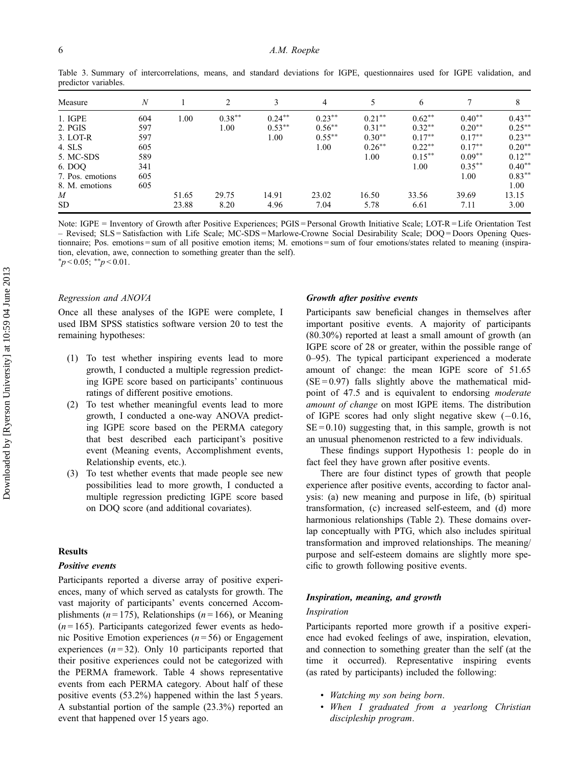Measure  $N$  1 2 3 4 5 6 7 8 1. IGPE 604 1.00  $0.38^{**}$   $0.24^{**}$   $0.23^{**}$   $0.21^{**}$   $0.62^{**}$   $0.40^{**}$   $0.43^{**}$ 2. PGIS 597 1.00  $0.53^{**}$   $0.56^{**}$   $0.31^{**}$   $0.32^{**}$   $0.20^{**}$   $0.25^{**}$ 3. LOT-R 597 597 1.00  $0.55^{**}$   $0.30^{**}$   $0.17^{**}$   $0.17^{**}$   $0.23^{**}$ 4. SLS 605 605 1.00  $0.26^{**}$   $0.22^{**}$   $0.17^{**}$   $0.20^{**}$ 5. MC-SDS 589 589 1.00  $0.15^{**}$  0.09<sup> $*$ </sup>  $0.12^{**}$ 6. DOQ 341 341 340<sup>*⁄⁄</sup></sup> 0.40<sup><i>⁄*</sup> 341 35<sup>*⁄*</sup> 0.40<sup>*⁄*</sup> 1.00  $0.35<sup>**</sup>$  0.40<sup>*<i>⁄*</sup></sup></sup></sup> 7. Pos. emotions 605 605 1.00 0.83<sup>\*</sup><sup>\*</sup> 8. M. emotions 605 1.00 M 51.65 29.75 14.91 23.02 16.50 33.56 39.69 13.15 SD 23.88 8.20 4.96 7.04 5.78 6.61 7.11 3.00

Table 3. Summary of intercorrelations, means, and standard deviations for IGPE, questionnaires used for IGPE validation, and predictor variables.

Note: IGPE = Inventory of Growth after Positive Experiences; PGIS = Personal Growth Initiative Scale; LOT-R = Life Orientation Test – Revised; SLS = Satisfaction with Life Scale; MC-SDS = Marlowe-Crowne Social Desirability Scale; DOQ = Doors Opening Questionnaire; Pos. emotions = sum of all positive emotion items; M. emotions = sum of four emotions/states related to meaning (inspiration, elevation, awe, connection to something greater than the self).  $*_{p}<0.05;$   $*_{p}<0.01$ .

#### Regression and ANOVA

Once all these analyses of the IGPE were complete, I used IBM SPSS statistics software version 20 to test the remaining hypotheses:

- (1) To test whether inspiring events lead to more growth, I conducted a multiple regression predicting IGPE score based on participants' continuous ratings of different positive emotions.
- (2) To test whether meaningful events lead to more growth, I conducted a one-way ANOVA predicting IGPE score based on the PERMA category that best described each participant's positive event (Meaning events, Accomplishment events, Relationship events, etc.).
- (3) To test whether events that made people see new possibilities lead to more growth, I conducted a multiple regression predicting IGPE score based on DOQ score (and additional covariates).

#### **Results**

#### Positive events

Participants reported a diverse array of positive experiences, many of which served as catalysts for growth. The vast majority of participants' events concerned Accomplishments ( $n = 175$ ), Relationships ( $n = 166$ ), or Meaning  $(n = 165)$ . Participants categorized fewer events as hedonic Positive Emotion experiences  $(n=56)$  or Engagement experiences  $(n=32)$ . Only 10 participants reported that their positive experiences could not be categorized with the PERMA framework. Table 4 shows representative events from each PERMA category. About half of these positive events (53.2%) happened within the last 5 years. A substantial portion of the sample (23.3%) reported an event that happened over 15 years ago.

#### Growth after positive events

Participants saw beneficial changes in themselves after important positive events. A majority of participants (80.30%) reported at least a small amount of growth (an IGPE score of 28 or greater, within the possible range of 0–95). The typical participant experienced a moderate amount of change: the mean IGPE score of 51.65  $(SE = 0.97)$  falls slightly above the mathematical midpoint of 47.5 and is equivalent to endorsing moderate amount of change on most IGPE items. The distribution of IGPE scores had only slight negative skew  $(-0.16,$  $SE = 0.10$ ) suggesting that, in this sample, growth is not an unusual phenomenon restricted to a few individuals.

These findings support Hypothesis 1: people do in fact feel they have grown after positive events.

There are four distinct types of growth that people experience after positive events, according to factor analysis: (a) new meaning and purpose in life, (b) spiritual transformation, (c) increased self-esteem, and (d) more harmonious relationships (Table 2). These domains overlap conceptually with PTG, which also includes spiritual transformation and improved relationships. The meaning/ purpose and self-esteem domains are slightly more specific to growth following positive events.

#### Inspiration, meaning, and growth

#### Inspiration

Participants reported more growth if a positive experience had evoked feelings of awe, inspiration, elevation, and connection to something greater than the self (at the time it occurred). Representative inspiring events (as rated by participants) included the following:

- *Watching my son being born.*
- When I graduated from a yearlong Christian discipleship program.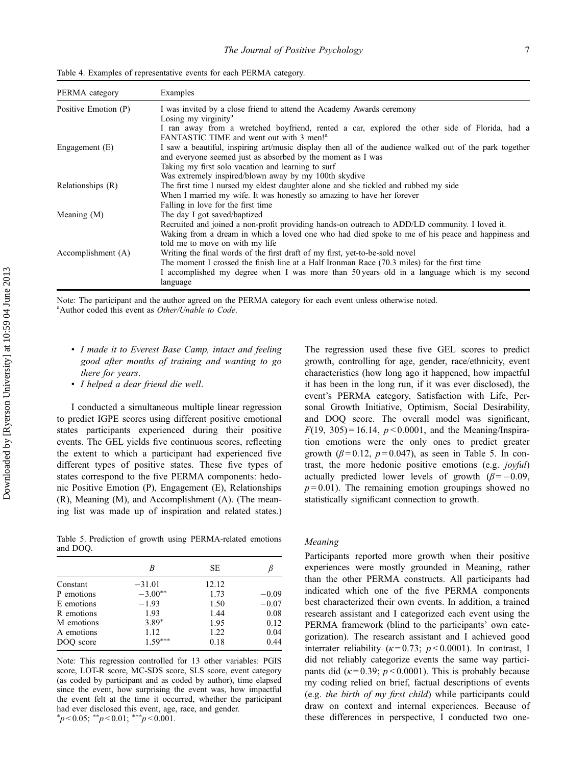Table 4. Examples of representative events for each PERMA category.

| PERMA category       | Examples                                                                                                                                                               |
|----------------------|------------------------------------------------------------------------------------------------------------------------------------------------------------------------|
| Positive Emotion (P) | I was invited by a close friend to attend the Academy Awards ceremony<br>Losing my virginity <sup>a</sup>                                                              |
|                      | I ran away from a wretched boyfriend, rented a car, explored the other side of Florida, had a<br>FANTASTIC TIME and went out with 3 men! <sup>a</sup>                  |
| Engagement $(E)$     | I saw a beautiful, inspiring art/music display then all of the audience walked out of the park together<br>and everyone seemed just as absorbed by the moment as I was |
|                      | Taking my first solo vacation and learning to surf                                                                                                                     |
|                      | Was extremely inspired/blown away by my 100th skydive                                                                                                                  |
| Relationships (R)    | The first time I nursed my eldest daughter alone and she tickled and rubbed my side                                                                                    |
|                      | When I married my wife. It was honestly so amazing to have her forever                                                                                                 |
|                      | Falling in love for the first time                                                                                                                                     |
| Meaning $(M)$        | The day I got saved/baptized                                                                                                                                           |
|                      | Recruited and joined a non-profit providing hands-on outreach to ADD/LD community. I loved it.                                                                         |
|                      | Waking from a dream in which a loved one who had died spoke to me of his peace and happiness and                                                                       |
|                      | told me to move on with my life                                                                                                                                        |
| Accomplishment (A)   | Writing the final words of the first draft of my first, yet-to-be-sold novel                                                                                           |
|                      | The moment I crossed the finish line at a Half Ironman Race (70.3 miles) for the first time                                                                            |
|                      | I accomplished my degree when I was more than 50 years old in a language which is my second                                                                            |
|                      | language                                                                                                                                                               |

Note: The participant and the author agreed on the PERMA category for each event unless otherwise noted. <sup>a</sup> Author coded this event as Other/Unable to Code.

- I made it to Everest Base Camp, intact and feeling good after months of training and wanting to go there for years.
- I helped a dear friend die well.

I conducted a simultaneous multiple linear regression to predict IGPE scores using different positive emotional states participants experienced during their positive events. The GEL yields five continuous scores, reflecting the extent to which a participant had experienced five different types of positive states. These five types of states correspond to the five PERMA components: hedonic Positive Emotion (P), Engagement (E), Relationships (R), Meaning (M), and Accomplishment (A). (The meaning list was made up of inspiration and related states.)

Table 5. Prediction of growth using PERMA-related emotions and DOQ.

|            | B         | SE.   |         |
|------------|-----------|-------|---------|
| Constant   | $-31.01$  | 12.12 |         |
| P emotions | $-3.00**$ | 1.73  | $-0.09$ |
| E emotions | $-1.93$   | 1.50  | $-0.07$ |
| R emotions | 1.93      | 1.44  | 0.08    |
| M emotions | $3.89*$   | 1.95  | 0.12    |
| A emotions | 1.12      | 1.22  | 0.04    |
| DOO score  | $1.59***$ | 0.18  | 0.44    |

Note: This regression controlled for 13 other variables: PGIS score, LOT-R score, MC-SDS score, SLS score, event category (as coded by participant and as coded by author), time elapsed since the event, how surprising the event was, how impactful the event felt at the time it occurred, whether the participant had ever disclosed this event, age, race, and gender.  $\gamma^* p < 0.05; \; \gamma^* p < 0.01; \; \gamma^* p < 0.001.$ 

The regression used these five GEL scores to predict growth, controlling for age, gender, race/ethnicity, event characteristics (how long ago it happened, how impactful it has been in the long run, if it was ever disclosed), the event's PERMA category, Satisfaction with Life, Personal Growth Initiative, Optimism, Social Desirability, and DOQ score. The overall model was significant,  $F(19, 305) = 16.14, p < 0.0001$ , and the Meaning/Inspiration emotions were the only ones to predict greater growth ( $\beta$ =0.12,  $p$ =0.047), as seen in Table 5. In contrast, the more hedonic positive emotions (e.g. joyful) actually predicted lower levels of growth  $(\beta = -0.09,$  $p=0.01$ ). The remaining emotion groupings showed no statistically significant connection to growth.

#### Meaning

Participants reported more growth when their positive experiences were mostly grounded in Meaning, rather than the other PERMA constructs. All participants had indicated which one of the five PERMA components best characterized their own events. In addition, a trained research assistant and I categorized each event using the PERMA framework (blind to the participants' own categorization). The research assistant and I achieved good interrater reliability ( $\kappa$ =0.73;  $p$  <0.0001). In contrast, I did not reliably categorize events the same way participants did ( $\kappa$ =0.39;  $p$  <0.0001). This is probably because my coding relied on brief, factual descriptions of events (e.g. the birth of my first child) while participants could draw on context and internal experiences. Because of these differences in perspective, I conducted two one-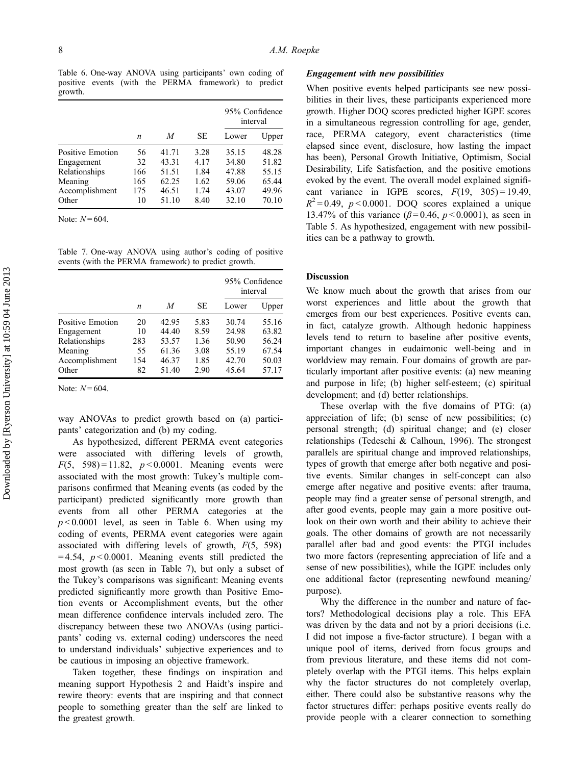Table 6. One-way ANOVA using participants' own coding of positive events (with the PERMA framework) to predict growth.

|                  |     |       |           | 95% Confidence<br>interval |       |
|------------------|-----|-------|-----------|----------------------------|-------|
|                  | n   | M     | <b>SE</b> | Lower                      | Upper |
| Positive Emotion | 56  | 41.71 | 3.28      | 35.15                      | 48.28 |
| Engagement       | 32  | 43.31 | 4.17      | 34.80                      | 51.82 |
| Relationships    | 166 | 51.51 | 1.84      | 47.88                      | 55.15 |
| Meaning          | 165 | 62.25 | 1.62      | 59.06                      | 65.44 |
| Accomplishment   | 175 | 46.51 | 1.74      | 43.07                      | 49.96 |
| Other            | 10  | 51.10 | 8.40      | 32.10                      | 70.10 |

Note:  $N = 604$ .

Table 7. One-way ANOVA using author's coding of positive events (with the PERMA framework) to predict growth.

|                         |     |       |      | 95% Confidence<br>interval |       |
|-------------------------|-----|-------|------|----------------------------|-------|
|                         | n   | M     | SЕ   | Lower                      | Upper |
| <b>Positive Emotion</b> | 20  | 42.95 | 5.83 | 30.74                      | 55.16 |
| Engagement              | 10  | 44.40 | 8.59 | 24.98                      | 63.82 |
| Relationships           | 283 | 53.57 | 1.36 | 50.90                      | 56.24 |
| Meaning                 | 55  | 61.36 | 3.08 | 55.19                      | 67.54 |
| Accomplishment          | 154 | 46.37 | 1.85 | 42.70                      | 50.03 |
| Other                   | 82  | 51.40 | 2.90 | 45.64                      | 57.17 |

Note:  $N = 604$ .

way ANOVAs to predict growth based on (a) participants' categorization and (b) my coding.

As hypothesized, different PERMA event categories were associated with differing levels of growth,  $F(5, 598) = 11.82, p < 0.0001$ . Meaning events were associated with the most growth: Tukey's multiple comparisons confirmed that Meaning events (as coded by the participant) predicted significantly more growth than events from all other PERMA categories at the  $p < 0.0001$  level, as seen in Table 6. When using my coding of events, PERMA event categories were again associated with differing levels of growth,  $F(5, 598)$  $= 4.54$ ,  $p < 0.0001$ . Meaning events still predicted the most growth (as seen in Table 7), but only a subset of the Tukey's comparisons was significant: Meaning events predicted significantly more growth than Positive Emotion events or Accomplishment events, but the other mean difference confidence intervals included zero. The discrepancy between these two ANOVAs (using participants' coding vs. external coding) underscores the need to understand individuals' subjective experiences and to be cautious in imposing an objective framework.

Taken together, these findings on inspiration and meaning support Hypothesis 2 and Haidt's inspire and rewire theory: events that are inspiring and that connect people to something greater than the self are linked to the greatest growth.

#### Engagement with new possibilities

When positive events helped participants see new possibilities in their lives, these participants experienced more growth. Higher DOQ scores predicted higher IGPE scores in a simultaneous regression controlling for age, gender, race, PERMA category, event characteristics (time elapsed since event, disclosure, how lasting the impact has been), Personal Growth Initiative, Optimism, Social Desirability, Life Satisfaction, and the positive emotions evoked by the event. The overall model explained significant variance in IGPE scores,  $F(19, 305) = 19.49$ ,  $R^2 = 0.49$ ,  $p < 0.0001$ . DOQ scores explained a unique 13.47% of this variance ( $\beta$ =0.46,  $p$  <0.0001), as seen in Table 5. As hypothesized, engagement with new possibilities can be a pathway to growth.

#### **Discussion**

We know much about the growth that arises from our worst experiences and little about the growth that emerges from our best experiences. Positive events can, in fact, catalyze growth. Although hedonic happiness levels tend to return to baseline after positive events, important changes in eudaimonic well-being and in worldview may remain. Four domains of growth are particularly important after positive events: (a) new meaning and purpose in life; (b) higher self-esteem; (c) spiritual development; and (d) better relationships.

These overlap with the five domains of PTG: (a) appreciation of life; (b) sense of new possibilities; (c) personal strength; (d) spiritual change; and (e) closer relationships (Tedeschi & Calhoun, 1996). The strongest parallels are spiritual change and improved relationships, types of growth that emerge after both negative and positive events. Similar changes in self-concept can also emerge after negative and positive events: after trauma, people may find a greater sense of personal strength, and after good events, people may gain a more positive outlook on their own worth and their ability to achieve their goals. The other domains of growth are not necessarily parallel after bad and good events: the PTGI includes two more factors (representing appreciation of life and a sense of new possibilities), while the IGPE includes only one additional factor (representing newfound meaning/ purpose).

Why the difference in the number and nature of factors? Methodological decisions play a role. This EFA was driven by the data and not by a priori decisions (i.e. I did not impose a five-factor structure). I began with a unique pool of items, derived from focus groups and from previous literature, and these items did not completely overlap with the PTGI items. This helps explain why the factor structures do not completely overlap, either. There could also be substantive reasons why the factor structures differ: perhaps positive events really do provide people with a clearer connection to something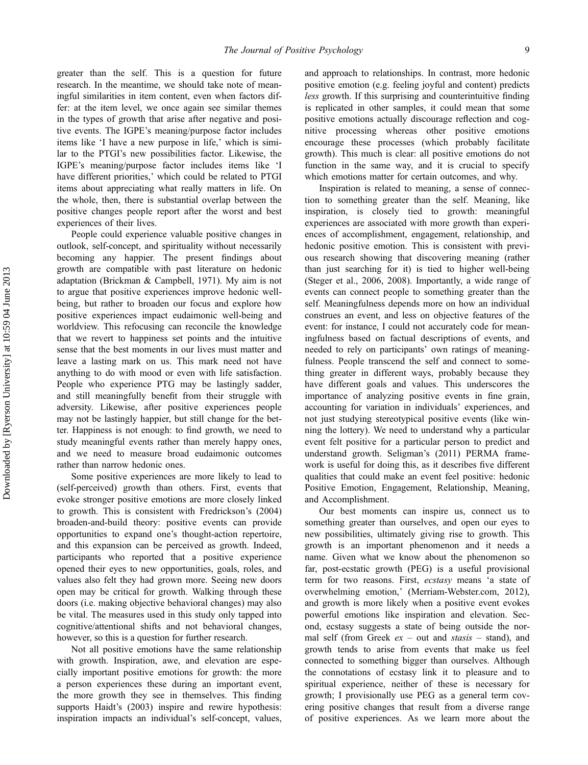greater than the self. This is a question for future research. In the meantime, we should take note of meaningful similarities in item content, even when factors differ: at the item level, we once again see similar themes in the types of growth that arise after negative and positive events. The IGPE's meaning/purpose factor includes items like 'I have a new purpose in life,' which is similar to the PTGI's new possibilities factor. Likewise, the IGPE's meaning/purpose factor includes items like 'I have different priorities,' which could be related to PTGI items about appreciating what really matters in life. On the whole, then, there is substantial overlap between the positive changes people report after the worst and best experiences of their lives.

People could experience valuable positive changes in outlook, self-concept, and spirituality without necessarily becoming any happier. The present findings about growth are compatible with past literature on hedonic adaptation (Brickman & Campbell, 1971). My aim is not to argue that positive experiences improve hedonic wellbeing, but rather to broaden our focus and explore how positive experiences impact eudaimonic well-being and worldview. This refocusing can reconcile the knowledge that we revert to happiness set points and the intuitive sense that the best moments in our lives must matter and leave a lasting mark on us. This mark need not have anything to do with mood or even with life satisfaction. People who experience PTG may be lastingly sadder, and still meaningfully benefit from their struggle with adversity. Likewise, after positive experiences people may not be lastingly happier, but still change for the better. Happiness is not enough: to find growth, we need to study meaningful events rather than merely happy ones, and we need to measure broad eudaimonic outcomes rather than narrow hedonic ones.

Some positive experiences are more likely to lead to (self-perceived) growth than others. First, events that evoke stronger positive emotions are more closely linked to growth. This is consistent with Fredrickson's (2004) broaden-and-build theory: positive events can provide opportunities to expand one's thought-action repertoire, and this expansion can be perceived as growth. Indeed, participants who reported that a positive experience opened their eyes to new opportunities, goals, roles, and values also felt they had grown more. Seeing new doors open may be critical for growth. Walking through these doors (i.e. making objective behavioral changes) may also be vital. The measures used in this study only tapped into cognitive/attentional shifts and not behavioral changes, however, so this is a question for further research.

Not all positive emotions have the same relationship with growth. Inspiration, awe, and elevation are especially important positive emotions for growth: the more a person experiences these during an important event, the more growth they see in themselves. This finding supports Haidt's (2003) inspire and rewire hypothesis: inspiration impacts an individual's self-concept, values,

and approach to relationships. In contrast, more hedonic positive emotion (e.g. feeling joyful and content) predicts less growth. If this surprising and counterintuitive finding is replicated in other samples, it could mean that some positive emotions actually discourage reflection and cognitive processing whereas other positive emotions encourage these processes (which probably facilitate growth). This much is clear: all positive emotions do not function in the same way, and it is crucial to specify which emotions matter for certain outcomes, and why.

Inspiration is related to meaning, a sense of connection to something greater than the self. Meaning, like inspiration, is closely tied to growth: meaningful experiences are associated with more growth than experiences of accomplishment, engagement, relationship, and hedonic positive emotion. This is consistent with previous research showing that discovering meaning (rather than just searching for it) is tied to higher well-being (Steger et al., 2006, 2008). Importantly, a wide range of events can connect people to something greater than the self. Meaningfulness depends more on how an individual construes an event, and less on objective features of the event: for instance, I could not accurately code for meaningfulness based on factual descriptions of events, and needed to rely on participants' own ratings of meaningfulness. People transcend the self and connect to something greater in different ways, probably because they have different goals and values. This underscores the importance of analyzing positive events in fine grain, accounting for variation in individuals' experiences, and not just studying stereotypical positive events (like winning the lottery). We need to understand why a particular event felt positive for a particular person to predict and understand growth. Seligman's (2011) PERMA framework is useful for doing this, as it describes five different qualities that could make an event feel positive: hedonic Positive Emotion, Engagement, Relationship, Meaning, and Accomplishment.

Our best moments can inspire us, connect us to something greater than ourselves, and open our eyes to new possibilities, ultimately giving rise to growth. This growth is an important phenomenon and it needs a name. Given what we know about the phenomenon so far, post-ecstatic growth (PEG) is a useful provisional term for two reasons. First, ecstasy means 'a state of overwhelming emotion,' (Merriam-Webster.com, 2012), and growth is more likely when a positive event evokes powerful emotions like inspiration and elevation. Second, ecstasy suggests a state of being outside the normal self (from Greek  $ex$  – out and  $stasis$  – stand), and growth tends to arise from events that make us feel connected to something bigger than ourselves. Although the connotations of ecstasy link it to pleasure and to spiritual experience, neither of these is necessary for growth; I provisionally use PEG as a general term covering positive changes that result from a diverse range of positive experiences. As we learn more about the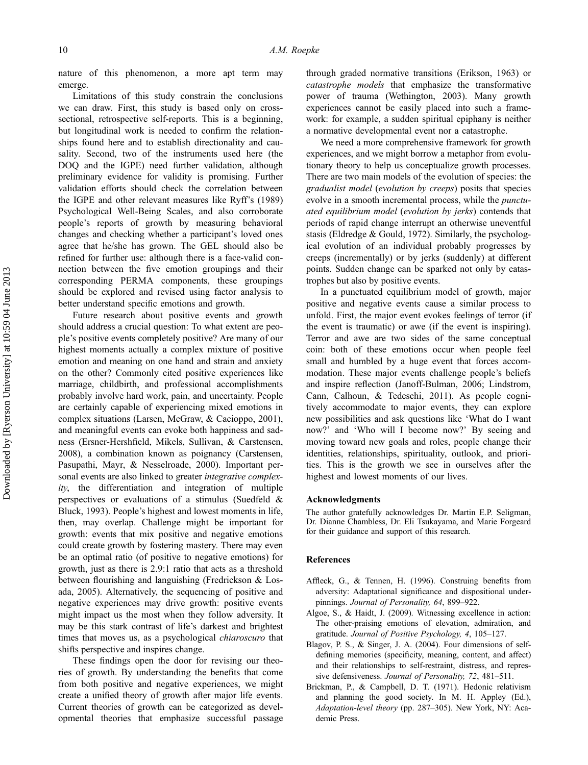nature of this phenomenon, a more apt term may emerge.

Limitations of this study constrain the conclusions we can draw. First, this study is based only on crosssectional, retrospective self-reports. This is a beginning, but longitudinal work is needed to confirm the relationships found here and to establish directionality and causality. Second, two of the instruments used here (the DOQ and the IGPE) need further validation, although preliminary evidence for validity is promising. Further validation efforts should check the correlation between the IGPE and other relevant measures like Ryff's (1989) Psychological Well-Being Scales, and also corroborate people's reports of growth by measuring behavioral changes and checking whether a participant's loved ones agree that he/she has grown. The GEL should also be refined for further use: although there is a face-valid connection between the five emotion groupings and their corresponding PERMA components, these groupings should be explored and revised using factor analysis to better understand specific emotions and growth.

Future research about positive events and growth should address a crucial question: To what extent are people's positive events completely positive? Are many of our highest moments actually a complex mixture of positive emotion and meaning on one hand and strain and anxiety on the other? Commonly cited positive experiences like marriage, childbirth, and professional accomplishments probably involve hard work, pain, and uncertainty. People are certainly capable of experiencing mixed emotions in complex situations (Larsen, McGraw, & Cacioppo, 2001), and meaningful events can evoke both happiness and sadness (Ersner-Hershfield, Mikels, Sullivan, & Carstensen, 2008), a combination known as poignancy (Carstensen, Pasupathi, Mayr, & Nesselroade, 2000). Important personal events are also linked to greater integrative complexity, the differentiation and integration of multiple perspectives or evaluations of a stimulus (Suedfeld & Bluck, 1993). People's highest and lowest moments in life, then, may overlap. Challenge might be important for growth: events that mix positive and negative emotions could create growth by fostering mastery. There may even be an optimal ratio (of positive to negative emotions) for growth, just as there is 2.9:1 ratio that acts as a threshold between flourishing and languishing (Fredrickson & Losada, 2005). Alternatively, the sequencing of positive and negative experiences may drive growth: positive events might impact us the most when they follow adversity. It may be this stark contrast of life's darkest and brightest times that moves us, as a psychological chiaroscuro that shifts perspective and inspires change.

These findings open the door for revising our theories of growth. By understanding the benefits that come from both positive and negative experiences, we might create a unified theory of growth after major life events. Current theories of growth can be categorized as developmental theories that emphasize successful passage

through graded normative transitions (Erikson, 1963) or catastrophe models that emphasize the transformative power of trauma (Wethington, 2003). Many growth experiences cannot be easily placed into such a framework: for example, a sudden spiritual epiphany is neither a normative developmental event nor a catastrophe.

We need a more comprehensive framework for growth experiences, and we might borrow a metaphor from evolutionary theory to help us conceptualize growth processes. There are two main models of the evolution of species: the gradualist model (evolution by creeps) posits that species evolve in a smooth incremental process, while the punctuated equilibrium model (evolution by jerks) contends that periods of rapid change interrupt an otherwise uneventful stasis (Eldredge & Gould, 1972). Similarly, the psychological evolution of an individual probably progresses by creeps (incrementally) or by jerks (suddenly) at different points. Sudden change can be sparked not only by catastrophes but also by positive events.

In a punctuated equilibrium model of growth, major positive and negative events cause a similar process to unfold. First, the major event evokes feelings of terror (if the event is traumatic) or awe (if the event is inspiring). Terror and awe are two sides of the same conceptual coin: both of these emotions occur when people feel small and humbled by a huge event that forces accommodation. These major events challenge people's beliefs and inspire reflection (Janoff-Bulman, 2006; Lindstrom, Cann, Calhoun, & Tedeschi, 2011). As people cognitively accommodate to major events, they can explore new possibilities and ask questions like 'What do I want now?' and 'Who will I become now?' By seeing and moving toward new goals and roles, people change their identities, relationships, spirituality, outlook, and priorities. This is the growth we see in ourselves after the highest and lowest moments of our lives.

#### Acknowledgments

The author gratefully acknowledges Dr. Martin E.P. Seligman, Dr. Dianne Chambless, Dr. Eli Tsukayama, and Marie Forgeard for their guidance and support of this research.

#### References

- Affleck, G., & Tennen, H. (1996). Construing benefits from adversity: Adaptational significance and dispositional underpinnings. Journal of Personality, 64, 899–922.
- Algoe, S., & Haidt, J. (2009). Witnessing excellence in action: The other-praising emotions of elevation, admiration, and gratitude. Journal of Positive Psychology, 4, 105–127.
- Blagov, P. S., & Singer, J. A. (2004). Four dimensions of selfdefining memories (specificity, meaning, content, and affect) and their relationships to self-restraint, distress, and repressive defensiveness. Journal of Personality, 72, 481-511.
- Brickman, P., & Campbell, D. T. (1971). Hedonic relativism and planning the good society. In M. H. Appley (Ed.), Adaptation-level theory (pp. 287–305). New York, NY: Academic Press.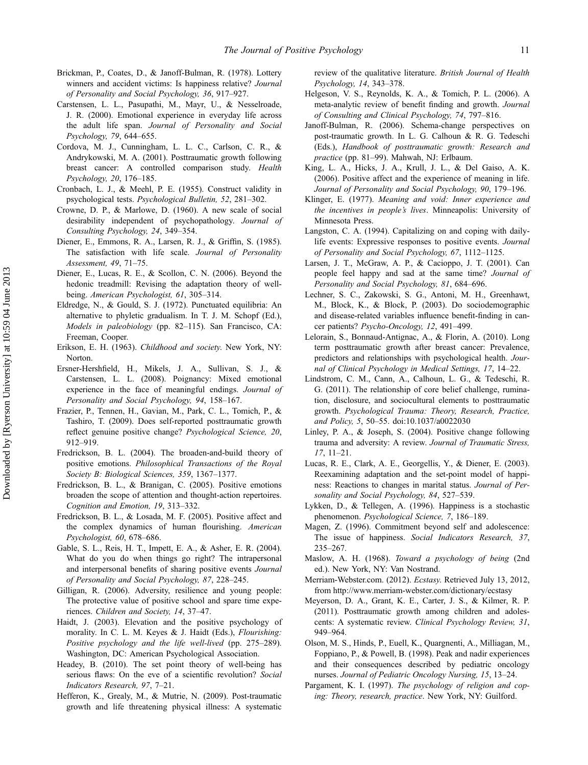- Brickman, P., Coates, D., & Janoff-Bulman, R. (1978). Lottery winners and accident victims: Is happiness relative? Journal of Personality and Social Psychology, 36, 917–927.
- Carstensen, L. L., Pasupathi, M., Mayr, U., & Nesselroade, J. R. (2000). Emotional experience in everyday life across the adult life span. Journal of Personality and Social Psychology, 79, 644–655.
- Cordova, M. J., Cunningham, L. L. C., Carlson, C. R., & Andrykowski, M. A. (2001). Posttraumatic growth following breast cancer: A controlled comparison study. Health Psychology, 20, 176–185.
- Cronbach, L. J., & Meehl, P. E. (1955). Construct validity in psychological tests. Psychological Bulletin, 52, 281–302.
- Crowne, D. P., & Marlowe, D. (1960). A new scale of social desirability independent of psychopathology. Journal of Consulting Psychology, 24, 349–354.
- Diener, E., Emmons, R. A., Larsen, R. J., & Griffin, S. (1985). The satisfaction with life scale. Journal of Personality Assessment, 49, 71–75.
- Diener, E., Lucas, R. E., & Scollon, C. N. (2006). Beyond the hedonic treadmill: Revising the adaptation theory of wellbeing. American Psychologist, 61, 305–314.
- Eldredge, N., & Gould, S. J. (1972). Punctuated equilibria: An alternative to phyletic gradualism. In T. J. M. Schopf (Ed.), Models in paleobiology (pp. 82–115). San Francisco, CA: Freeman, Cooper.
- Erikson, E. H. (1963). Childhood and society. New York, NY: Norton.
- Ersner-Hershfield, H., Mikels, J. A., Sullivan, S. J., & Carstensen, L. L. (2008). Poignancy: Mixed emotional experience in the face of meaningful endings. Journal of Personality and Social Psychology, 94, 158–167.
- Frazier, P., Tennen, H., Gavian, M., Park, C. L., Tomich, P., & Tashiro, T. (2009). Does self-reported posttraumatic growth reflect genuine positive change? Psychological Science, 20, 912–919.
- Fredrickson, B. L. (2004). The broaden-and-build theory of positive emotions. Philosophical Transactions of the Royal Society B: Biological Sciences, 359, 1367–1377.
- Fredrickson, B. L., & Branigan, C. (2005). Positive emotions broaden the scope of attention and thought-action repertoires. Cognition and Emotion, 19, 313–332.
- Fredrickson, B. L., & Losada, M. F. (2005). Positive affect and the complex dynamics of human flourishing. American Psychologist, 60, 678–686.
- Gable, S. L., Reis, H. T., Impett, E. A., & Asher, E. R. (2004). What do you do when things go right? The intrapersonal and interpersonal benefits of sharing positive events Journal of Personality and Social Psychology, 87, 228–245.
- Gilligan, R. (2006). Adversity, resilience and young people: The protective value of positive school and spare time experiences. Children and Society, 14, 37–47.
- Haidt, J. (2003). Elevation and the positive psychology of morality. In C. L. M. Keyes & J. Haidt (Eds.), Flourishing: Positive psychology and the life well-lived (pp. 275–289). Washington, DC: American Psychological Association.
- Headey, B. (2010). The set point theory of well-being has serious flaws: On the eve of a scientific revolution? Social Indicators Research, 97, 7–21.
- Hefferon, K., Grealy, M., & Mutrie, N. (2009). Post-traumatic growth and life threatening physical illness: A systematic

review of the qualitative literature. British Journal of Health Psychology, 14, 343–378.

- Helgeson, V. S., Reynolds, K. A., & Tomich, P. L. (2006). A meta-analytic review of benefit finding and growth. Journal of Consulting and Clinical Psychology, 74, 797–816.
- Janoff-Bulman, R. (2006). Schema-change perspectives on post-traumatic growth. In L. G. Calhoun & R. G. Tedeschi (Eds.), Handbook of posttraumatic growth: Research and practice (pp. 81–99). Mahwah, NJ: Erlbaum.
- King, L. A., Hicks, J. A., Krull, J. L., & Del Gaiso, A. K. (2006). Positive affect and the experience of meaning in life. Journal of Personality and Social Psychology, 90, 179–196.
- Klinger, E. (1977). Meaning and void: Inner experience and the incentives in people's lives. Minneapolis: University of Minnesota Press.
- Langston, C. A. (1994). Capitalizing on and coping with dailylife events: Expressive responses to positive events. Journal of Personality and Social Psychology, 67, 1112–1125.
- Larsen, J. T., McGraw, A. P., & Cacioppo, J. T. (2001). Can people feel happy and sad at the same time? Journal of Personality and Social Psychology, 81, 684–696.
- Lechner, S. C., Zakowski, S. G., Antoni, M. H., Greenhawt, M., Block, K., & Block, P. (2003). Do sociodemographic and disease-related variables influence benefit-finding in cancer patients? Psycho-Oncology, 12, 491–499.
- Lelorain, S., Bonnaud-Antignac, A., & Florin, A. (2010). Long term posttraumatic growth after breast cancer: Prevalence, predictors and relationships with psychological health. Journal of Clinical Psychology in Medical Settings, 17, 14–22.
- Lindstrom, C. M., Cann, A., Calhoun, L. G., & Tedeschi, R. G. (2011). The relationship of core belief challenge, rumination, disclosure, and sociocultural elements to posttraumatic growth. Psychological Trauma: Theory, Research, Practice, and Policy, 5, 50–55. doi:10.1037/a0022030
- Linley, P. A., & Joseph, S. (2004). Positive change following trauma and adversity: A review. Journal of Traumatic Stress, 17, 11–21.
- Lucas, R. E., Clark, A. E., Georgellis, Y., & Diener, E. (2003). Reexamining adaptation and the set-point model of happiness: Reactions to changes in marital status. Journal of Personality and Social Psychology, 84, 527–539.
- Lykken, D., & Tellegen, A. (1996). Happiness is a stochastic phenomenon. Psychological Science, 7, 186–189.
- Magen, Z. (1996). Commitment beyond self and adolescence: The issue of happiness. Social Indicators Research, 37, 235–267.
- Maslow, A. H. (1968). Toward a psychology of being (2nd ed.). New York, NY: Van Nostrand.
- Merriam-Webster.com. (2012). Ecstasy. Retrieved July 13, 2012, from<http://www.merriam-webster.com/dictionary/ecstasy>
- Meyerson, D. A., Grant, K. E., Carter, J. S., & Kilmer, R. P. (2011). Posttraumatic growth among children and adolescents: A systematic review. Clinical Psychology Review, 31, 949–964.
- Olson, M. S., Hinds, P., Euell, K., Quargnenti, A., Milliagan, M., Foppiano, P., & Powell, B. (1998). Peak and nadir experiences and their consequences described by pediatric oncology nurses. Journal of Pediatric Oncology Nursing, 15, 13–24.
- Pargament, K. I. (1997). The psychology of religion and coping: Theory, research, practice. New York, NY: Guilford.